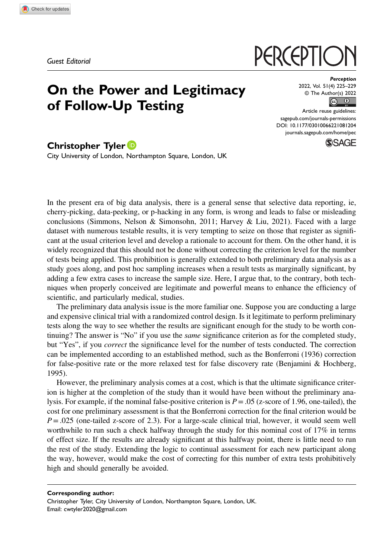Guest Editorial

## On the Power and Legitimacy of Follow-Up Testing

# PERCEPTIC

Perception 2022, Vol. 51(4) 225–229 © The Author(s) 2022  $\circ$   $\circ$ 

Article reuse guidelines: [sagepub.com/journals-permissions](https://us.sagepub.com/en-us/journals-permissions) DOI: [10.1177/03010066221081204](https://doi.org/10.1177/03010066221081204) [journals.sagepub.com/home/pec](https://journals.sagepub.com/home/pec)

**SSAGE** 

### Christopher Tyler<sup>D</sup>

City University of London, Northampton Square, London, UK

In the present era of big data analysis, there is a general sense that selective data reporting, ie, cherry-picking, data-peeking, or p-hacking in any form, is wrong and leads to false or misleading conclusions (Simmons, Nelson & Simonsohn, 2011; Harvey & Liu, 2021). Faced with a large dataset with numerous testable results, it is very tempting to seize on those that register as significant at the usual criterion level and develop a rationale to account for them. On the other hand, it is widely recognized that this should not be done without correcting the criterion level for the number of tests being applied. This prohibition is generally extended to both preliminary data analysis as a study goes along, and post hoc sampling increases when a result tests as marginally significant, by adding a few extra cases to increase the sample size. Here, I argue that, to the contrary, both techniques when properly conceived are legitimate and powerful means to enhance the efficiency of scientific, and particularly medical, studies.

The preliminary data analysis issue is the more familiar one. Suppose you are conducting a large and expensive clinical trial with a randomized control design. Is it legitimate to perform preliminary tests along the way to see whether the results are significant enough for the study to be worth continuing? The answer is "No" if you use the *same* significance criterion as for the completed study, but "Yes", if you *correct* the significance level for the number of tests conducted. The correction can be implemented according to an established method, such as the Bonferroni (1936) correction for false-positive rate or the more relaxed test for false discovery rate (Benjamini & Hochberg, 1995).

However, the preliminary analysis comes at a cost, which is that the ultimate significance criterion is higher at the completion of the study than it would have been without the preliminary analysis. For example, if the nominal false-positive criterion is  $P = .05$  (z-score of 1.96, one-tailed), the cost for one preliminary assessment is that the Bonferroni correction for the final criterion would be  $P = 0.025$  (one-tailed z-score of 2.3). For a large-scale clinical trial, however, it would seem well worthwhile to run such a check halfway through the study for this nominal cost of 17% in terms of effect size. If the results are already significant at this halfway point, there is little need to run the rest of the study. Extending the logic to continual assessment for each new participant along the way, however, would make the cost of correcting for this number of extra tests prohibitively high and should generally be avoided.

Corresponding author:

Christopher Tyler, City University of London, Northampton Square, London, UK. Email: [cwtyler2020@gmail.com](mailto:cwtyler2020@gmail.com)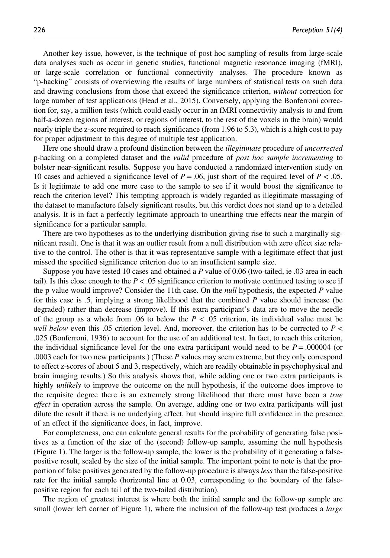Another key issue, however, is the technique of post hoc sampling of results from large-scale data analyses such as occur in genetic studies, functional magnetic resonance imaging (fMRI), or large-scale correlation or functional connectivity analyses. The procedure known as "p-hacking" consists of overviewing the results of large numbers of statistical tests on such data and drawing conclusions from those that exceed the significance criterion, without correction for large number of test applications (Head et al., 2015). Conversely, applying the Bonferroni correction for, say, a million tests (which could easily occur in an fMRI connectivity analysis to and from half-a-dozen regions of interest, or regions of interest, to the rest of the voxels in the brain) would nearly triple the z-score required to reach significance (from 1.96 to 5.3), which is a high cost to pay for proper adjustment to this degree of multiple test application.

Here one should draw a profound distinction between the illegitimate procedure of uncorrected p-hacking on a completed dataset and the valid procedure of post hoc sample incrementing to bolster near-significant results. Suppose you have conducted a randomized intervention study on 10 cases and achieved a significance level of  $P = .06$ , just short of the required level of  $P < .05$ . Is it legitimate to add one more case to the sample to see if it would boost the significance to reach the criterion level? This tempting approach is widely regarded as illegitimate massaging of the dataset to manufacture falsely significant results, but this verdict does not stand up to a detailed analysis. It is in fact a perfectly legitimate approach to unearthing true effects near the margin of significance for a particular sample.

There are two hypotheses as to the underlying distribution giving rise to such a marginally significant result. One is that it was an outlier result from a null distribution with zero effect size relative to the control. The other is that it was representative sample with a legitimate effect that just missed the specified significance criterion due to an insufficient sample size.

Suppose you have tested 10 cases and obtained a P value of 0.06 (two-tailed, ie .03 area in each tail). Is this close enough to the  $P < .05$  significance criterion to motivate continued testing to see if the p value would improve? Consider the 11th case. On the *null* hypothesis, the expected  $P$  value for this case is .5, implying a strong likelihood that the combined P value should increase (be degraded) rather than decrease (improve). If this extra participant's data are to move the needle of the group as a whole from .06 to below the  $P < .05$  criterion, its individual value must be well below even this .05 criterion level. And, moreover, the criterion has to be corrected to  $P \lt \mathcal{E}$ .025 (Bonferroni, 1936) to account for the use of an additional test. In fact, to reach this criterion, the individual significance level for the one extra participant would need to be  $P = .000004$  (or .0003 each for two new participants.) (These  $P$  values may seem extreme, but they only correspond to effect z-scores of about 5 and 3, respectively, which are readily obtainable in psychophysical and brain imaging results.) So this analysis shows that, while adding one or two extra participants is highly *unlikely* to improve the outcome on the null hypothesis, if the outcome does improve to the requisite degree there is an extremely strong likelihood that there must have been a *true effect* in operation across the sample. On average, adding one or two extra participants will just dilute the result if there is no underlying effect, but should inspire full confidence in the presence of an effect if the significance does, in fact, improve.

For completeness, one can calculate general results for the probability of generating false positives as a function of the size of the (second) follow-up sample, assuming the null hypothesis (Figure 1). The larger is the follow-up sample, the lower is the probability of it generating a falsepositive result, scaled by the size of the initial sample. The important point to note is that the proportion of false positives generated by the follow-up procedure is always less than the false-positive rate for the initial sample (horizontal line at 0.03, corresponding to the boundary of the falsepositive region for each tail of the two-tailed distribution).

The region of greatest interest is where both the initial sample and the follow-up sample are small (lower left corner of Figure 1), where the inclusion of the follow-up test produces a *large*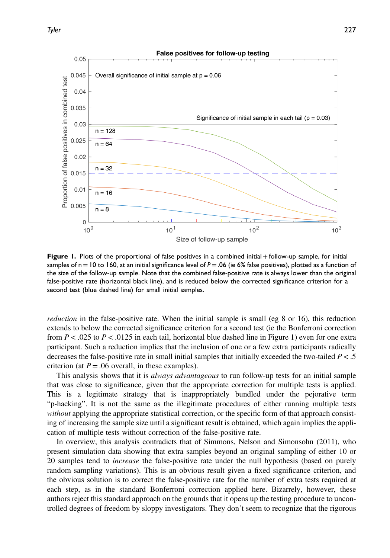

Figure 1. Plots of the proportional of false positives in a combined initial + follow-up sample, for initial samples of n = 10 to 160, at an initial significance level of P = .06 (ie 6% false positives), plotted as a function of the size of the follow-up sample. Note that the combined false-positive rate is always lower than the original false-positive rate (horizontal black line), and is reduced below the corrected significance criterion for a second test (blue dashed line) for small initial samples.

reduction in the false-positive rate. When the initial sample is small (eg 8 or 16), this reduction extends to below the corrected significance criterion for a second test (ie the Bonferroni correction from  $P < .025$  to  $P < .0125$  in each tail, horizontal blue dashed line in Figure 1) even for one extra participant. Such a reduction implies that the inclusion of one or a few extra participants radically decreases the false-positive rate in small initial samples that initially exceeded the two-tailed  $P < 0.5$ criterion (at  $P = .06$  overall, in these examples).

This analysis shows that it is *always advantageous* to run follow-up tests for an initial sample that was close to significance, given that the appropriate correction for multiple tests is applied. This is a legitimate strategy that is inappropriately bundled under the pejorative term "p-hacking". It is not the same as the illegitimate procedures of either running multiple tests without applying the appropriate statistical correction, or the specific form of that approach consisting of increasing the sample size until a significant result is obtained, which again implies the application of multiple tests without correction of the false-positive rate.

In overview, this analysis contradicts that of Simmons, Nelson and Simonsohn (2011), who present simulation data showing that extra samples beyond an original sampling of either 10 or 20 samples tend to *increase* the false-positive rate under the null hypothesis (based on purely random sampling variations). This is an obvious result given a fixed significance criterion, and the obvious solution is to correct the false-positive rate for the number of extra tests required at each step, as in the standard Bonferroni correction applied here. Bizarrely, however, these authors reject this standard approach on the grounds that it opens up the testing procedure to uncontrolled degrees of freedom by sloppy investigators. They don't seem to recognize that the rigorous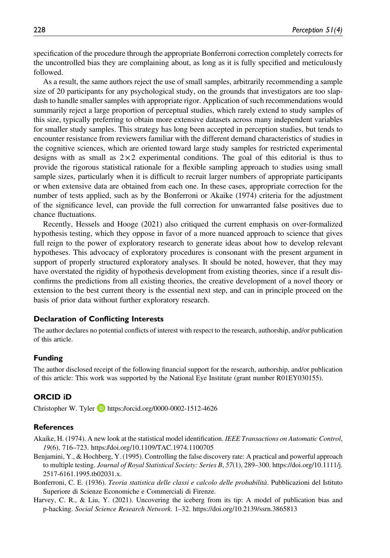specification of the procedure through the appropriate Bonferroni correction completely corrects for the uncontrolled bias they are complaining about, as long as it is fully specified and meticulously followed.

As a result, the same authors reject the use of small samples, arbitrarily recommending a sample size of 20 participants for any psychological study, on the grounds that investigators are too slapdash to handle smaller samples with appropriate rigor. Application of such recommendations would summarily reject a large proportion of perceptual studies, which rarely extend to study samples of this size, typically preferring to obtain more extensive datasets across many independent variables for smaller study samples. This strategy has long been accepted in perception studies, but tends to encounter resistance from reviewers familiar with the different demand characteristics of studies in the cognitive sciences, which are oriented toward large study samples for restricted experimental designs with as small as  $2 \times 2$  experimental conditions. The goal of this editorial is thus to provide the rigorous statistical rationale for a flexible sampling approach to studies using small sample sizes, particularly when it is difficult to recruit larger numbers of appropriate participants or when extensive data are obtained from each one. In these cases, appropriate correction for the number of tests applied, such as by the Bonferroni or Akaike (1974) criteria for the adjustment of the significance level, can provide the full correction for unwarranted false positives due to chance fluctuations.

Recently, Hessels and Hooge (2021) also critiqued the current emphasis on over-formalized hypothesis testing, which they oppose in favor of a more nuanced approach to science that gives full reign to the power of exploratory research to generate ideas about how to develop relevant hypotheses. This advocacy of exploratory procedures is consonant with the present argument in support of properly structured exploratory analyses. It should be noted, however, that they may have overstated the rigidity of hypothesis development from existing theories, since if a result disconfirms the predictions from all existing theories, the creative development of a novel theory or extension to the best current theory is the essential next step, and can in principle proceed on the basis of prior data without further exploratory research.

#### Declaration of Conflicting Interests

The author declares no potential conflicts of interest with respect to the research, authorship, and/or publication of this article.

#### Funding

The author disclosed receipt of the following financial support for the research, authorship, and/or publication of this article: This work was supported by the National Eye Institute (grant number R01EY030155).

#### ORCID iD

Christopher W. Tyler **D** <https://orcid.org/0000-0002-1512-4626>

#### **References**

- Akaike, H. (1974). A new look at the statistical model identification. IEEE Transactions on Automatic Control, 19(6), 716–723.<https://doi.org/10.1109/TAC.1974.1100705>
- Benjamini, Y., & Hochberg, Y. (1995). Controlling the false discovery rate: A practical and powerful approach to multiple testing. Journal of Royal Statistical Society: Series B, 57(1), 289–300. [https://doi.org/10.1111/j.](https://doi.org/10.1111/j.2517-6161.1995.tb02031.x) [2517-6161.1995.tb02031.x](https://doi.org/10.1111/j.2517-6161.1995.tb02031.x).
- Bonferroni, C. E. (1936). Teoria statistica delle classi e calcolo delle probabilità. Pubblicazioni del Istituto Superiore di Scienze Economiche e Commerciali di Firenze.
- Harvey, C. R., & Liu, Y. (2021). Uncovering the iceberg from its tip: A model of publication bias and p-hacking. Social Science Research Network. 1–32.<https://doi.org/10.2139/ssrn.3865813>